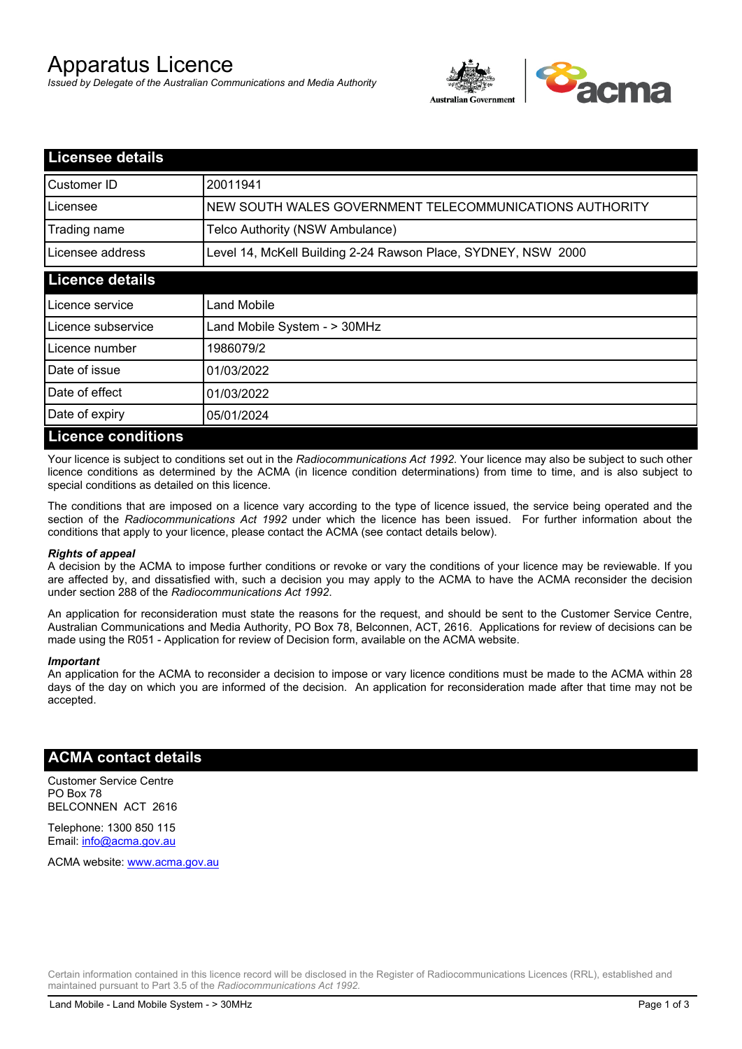# Apparatus Licence

*Issued by Delegate of the Australian Communications and Media Authority*



| <b>Licensee details</b>   |                                                               |  |
|---------------------------|---------------------------------------------------------------|--|
| Customer ID               | 20011941                                                      |  |
| Licensee                  | NEW SOUTH WALES GOVERNMENT TELECOMMUNICATIONS AUTHORITY       |  |
| Trading name              | Telco Authority (NSW Ambulance)                               |  |
| Licensee address          | Level 14, McKell Building 2-24 Rawson Place, SYDNEY, NSW 2000 |  |
| <b>Licence details</b>    |                                                               |  |
| Licence service           | Land Mobile                                                   |  |
| Licence subservice        | Land Mobile System - > 30MHz                                  |  |
| Licence number            | 1986079/2                                                     |  |
| Date of issue             | 01/03/2022                                                    |  |
| Date of effect            | 01/03/2022                                                    |  |
| Date of expiry            | 05/01/2024                                                    |  |
| <b>Licence conditions</b> |                                                               |  |

Your licence is subject to conditions set out in the *Radiocommunications Act 1992*. Your licence may also be subject to such other licence conditions as determined by the ACMA (in licence condition determinations) from time to time, and is also subject to special conditions as detailed on this licence.

The conditions that are imposed on a licence vary according to the type of licence issued, the service being operated and the section of the *Radiocommunications Act 1992* under which the licence has been issued. For further information about the conditions that apply to your licence, please contact the ACMA (see contact details below).

#### *Rights of appeal*

A decision by the ACMA to impose further conditions or revoke or vary the conditions of your licence may be reviewable. If you are affected by, and dissatisfied with, such a decision you may apply to the ACMA to have the ACMA reconsider the decision under section 288 of the *Radiocommunications Act 1992*.

An application for reconsideration must state the reasons for the request, and should be sent to the Customer Service Centre, Australian Communications and Media Authority, PO Box 78, Belconnen, ACT, 2616. Applications for review of decisions can be made using the R051 - Application for review of Decision form, available on the ACMA website.

#### *Important*

An application for the ACMA to reconsider a decision to impose or vary licence conditions must be made to the ACMA within 28 days of the day on which you are informed of the decision. An application for reconsideration made after that time may not be accepted.

### **ACMA contact details**

Customer Service Centre PO Box 78 BELCONNEN ACT 2616

Telephone: 1300 850 115 Email: info@acma.gov.au

ACMA website: www.acma.gov.au

Certain information contained in this licence record will be disclosed in the Register of Radiocommunications Licences (RRL), established and maintained pursuant to Part 3.5 of the *Radiocommunications Act 1992.*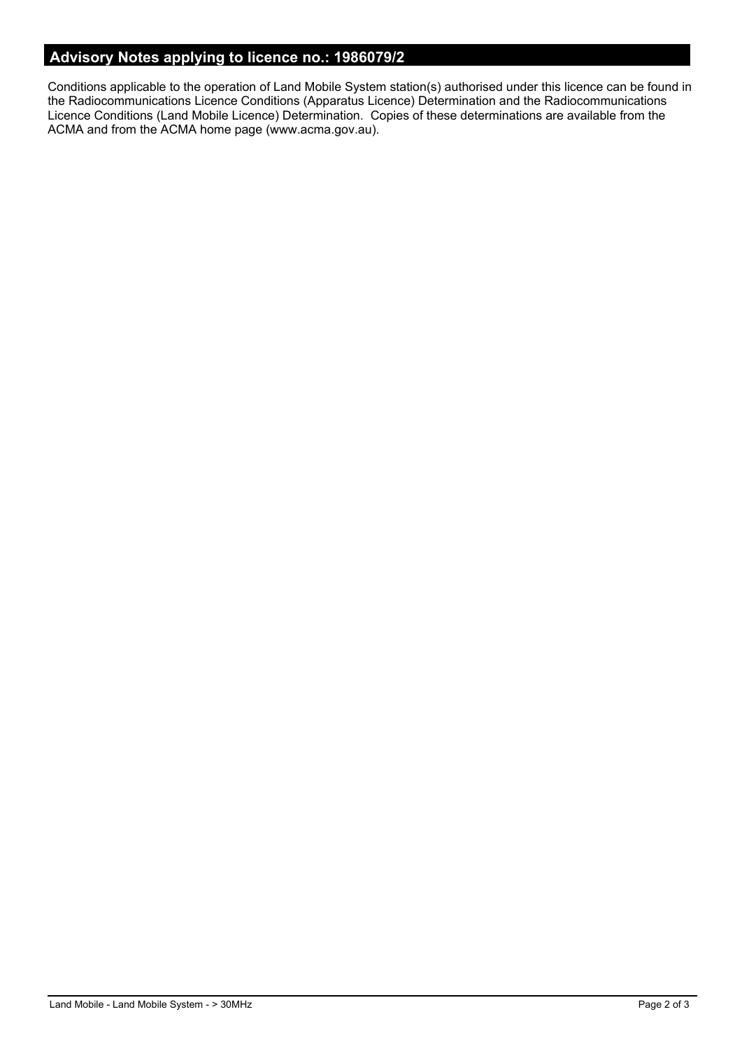# **Advisory Notes applying to licence no.: 1986079/2**

Conditions applicable to the operation of Land Mobile System station(s) authorised under this licence can be found in the Radiocommunications Licence Conditions (Apparatus Licence) Determination and the Radiocommunications Licence Conditions (Land Mobile Licence) Determination. Copies of these determinations are available from the ACMA and from the ACMA home page (www.acma.gov.au).